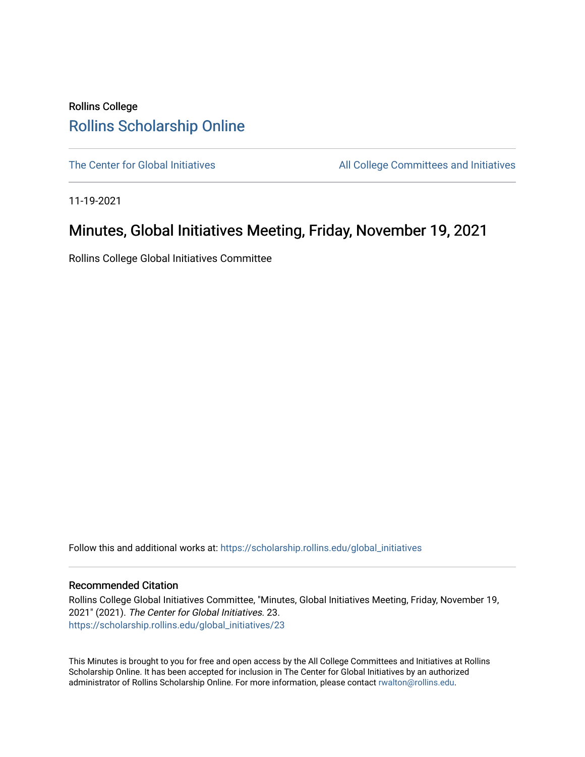## Rollins College [Rollins Scholarship Online](https://scholarship.rollins.edu/)

[The Center for Global Initiatives](https://scholarship.rollins.edu/global_initiatives) **All College Committees and Initiatives** 

11-19-2021

## Minutes, Global Initiatives Meeting, Friday, November 19, 2021

Rollins College Global Initiatives Committee

Follow this and additional works at: [https://scholarship.rollins.edu/global\\_initiatives](https://scholarship.rollins.edu/global_initiatives?utm_source=scholarship.rollins.edu%2Fglobal_initiatives%2F23&utm_medium=PDF&utm_campaign=PDFCoverPages) 

## Recommended Citation

Rollins College Global Initiatives Committee, "Minutes, Global Initiatives Meeting, Friday, November 19, 2021" (2021). The Center for Global Initiatives. 23. [https://scholarship.rollins.edu/global\\_initiatives/23](https://scholarship.rollins.edu/global_initiatives/23?utm_source=scholarship.rollins.edu%2Fglobal_initiatives%2F23&utm_medium=PDF&utm_campaign=PDFCoverPages)

This Minutes is brought to you for free and open access by the All College Committees and Initiatives at Rollins Scholarship Online. It has been accepted for inclusion in The Center for Global Initiatives by an authorized administrator of Rollins Scholarship Online. For more information, please contact [rwalton@rollins.edu.](mailto:rwalton@rollins.edu)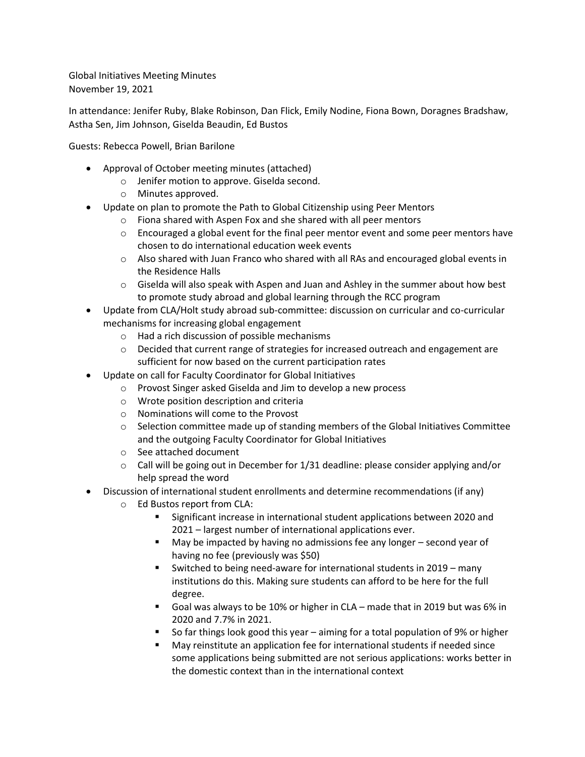Global Initiatives Meeting Minutes November 19, 2021

In attendance: Jenifer Ruby, Blake Robinson, Dan Flick, Emily Nodine, Fiona Bown, Doragnes Bradshaw, Astha Sen, Jim Johnson, Giselda Beaudin, Ed Bustos

Guests: Rebecca Powell, Brian Barilone

- Approval of October meeting minutes (attached)
	- o Jenifer motion to approve. Giselda second.
	- o Minutes approved.
- Update on plan to promote the Path to Global Citizenship using Peer Mentors
	- o Fiona shared with Aspen Fox and she shared with all peer mentors
	- $\circ$  Encouraged a global event for the final peer mentor event and some peer mentors have chosen to do international education week events
	- $\circ$  Also shared with Juan Franco who shared with all RAs and encouraged global events in the Residence Halls
	- $\circ$  Giselda will also speak with Aspen and Juan and Ashley in the summer about how best to promote study abroad and global learning through the RCC program
- Update from CLA/Holt study abroad sub-committee: discussion on curricular and co-curricular mechanisms for increasing global engagement
	- o Had a rich discussion of possible mechanisms
	- $\circ$  Decided that current range of strategies for increased outreach and engagement are sufficient for now based on the current participation rates
- Update on call for Faculty Coordinator for Global Initiatives
	- o Provost Singer asked Giselda and Jim to develop a new process
	- o Wrote position description and criteria
	- o Nominations will come to the Provost
	- $\circ$  Selection committee made up of standing members of the Global Initiatives Committee and the outgoing Faculty Coordinator for Global Initiatives
	- o See attached document
	- $\circ$  Call will be going out in December for 1/31 deadline: please consider applying and/or help spread the word
- Discussion of international student enrollments and determine recommendations (if any)
	- o Ed Bustos report from CLA:
		- Significant increase in international student applications between 2020 and 2021 – largest number of international applications ever.
		- May be impacted by having no admissions fee any longer  $-$  second year of having no fee (previously was \$50)
		- Switched to being need-aware for international students in 2019 many institutions do this. Making sure students can afford to be here for the full degree.
		- Goal was always to be 10% or higher in CLA made that in 2019 but was 6% in 2020 and 7.7% in 2021.
		- So far things look good this year aiming for a total population of 9% or higher
		- May reinstitute an application fee for international students if needed since some applications being submitted are not serious applications: works better in the domestic context than in the international context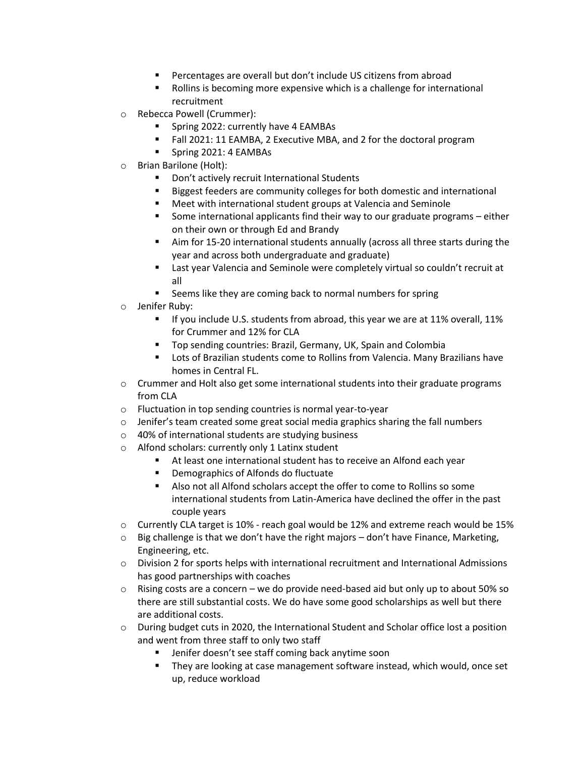- Percentages are overall but don't include US citizens from abroad
- Rollins is becoming more expensive which is a challenge for international recruitment
- o Rebecca Powell (Crummer):
	- Spring 2022: currently have 4 EAMBAs
	- Fall 2021: 11 EAMBA, 2 Executive MBA, and 2 for the doctoral program
	- Spring 2021: 4 EAMBAs
- o Brian Barilone (Holt):
	- Don't actively recruit International Students
	- Biggest feeders are community colleges for both domestic and international
	- Meet with international student groups at Valencia and Seminole
	- Some international applicants find their way to our graduate programs either on their own or through Ed and Brandy
	- Aim for 15-20 international students annually (across all three starts during the year and across both undergraduate and graduate)
	- Last year Valencia and Seminole were completely virtual so couldn't recruit at all
	- Seems like they are coming back to normal numbers for spring
- o Jenifer Ruby:
	- If you include U.S. students from abroad, this year we are at 11% overall, 11% for Crummer and 12% for CLA
	- Top sending countries: Brazil, Germany, UK, Spain and Colombia
	- Lots of Brazilian students come to Rollins from Valencia. Many Brazilians have homes in Central FL.
- $\circ$  Crummer and Holt also get some international students into their graduate programs from CLA
- o Fluctuation in top sending countries is normal year-to-year
- $\circ$  Jenifer's team created some great social media graphics sharing the fall numbers
- o 40% of international students are studying business
- o Alfond scholars: currently only 1 Latinx student
	- At least one international student has to receive an Alfond each year
	- Demographics of Alfonds do fluctuate
	- Also not all Alfond scholars accept the offer to come to Rollins so some international students from Latin-America have declined the offer in the past couple years
- $\circ$  Currently CLA target is 10% reach goal would be 12% and extreme reach would be 15%
- $\circ$  Big challenge is that we don't have the right majors don't have Finance, Marketing, Engineering, etc.
- $\circ$  Division 2 for sports helps with international recruitment and International Admissions has good partnerships with coaches
- $\circ$  Rising costs are a concern we do provide need-based aid but only up to about 50% so there are still substantial costs. We do have some good scholarships as well but there are additional costs.
- $\circ$  During budget cuts in 2020, the International Student and Scholar office lost a position and went from three staff to only two staff
	- Jenifer doesn't see staff coming back anytime soon
	- They are looking at case management software instead, which would, once set up, reduce workload